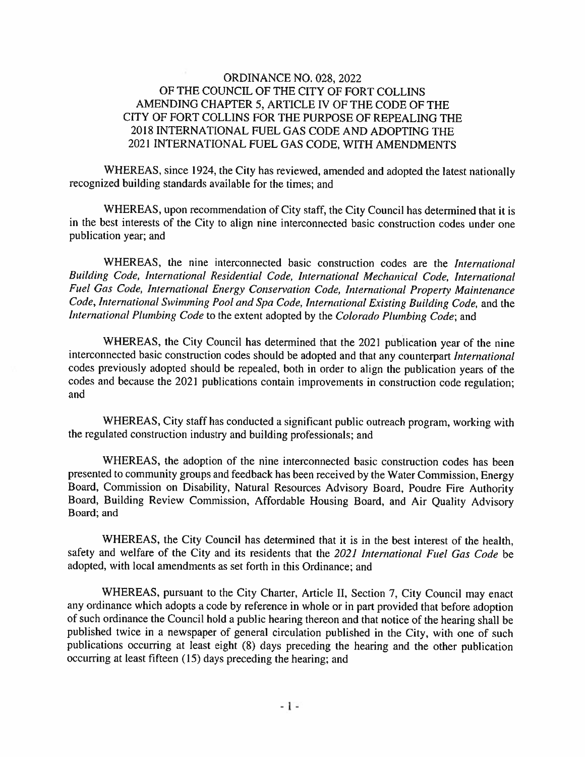### **ORDINANCE NO. 028, 2022** OF THE COUNCIL OF THE CITY OF FORT COLLINS AMENDING CHAPTER 5, ARTICLE IV OF THE CODE OF THE CITY OF FORT COLLINS FOR THE PURPOSE OF REPEALING THE 2018 INTERNATIONAL FUEL GAS CODE AND ADOPTING THE 2021 INTERNATIONAL FUEL GAS CODE, WITH AMENDMENTS

WHEREAS, since 1924, the City has reviewed, amended and adopted the latest nationally recognized building standards available for the times; and

WHEREAS, upon recommendation of City staff, the City Council has determined that it is in the best interests of the City to align nine interconnected basic construction codes under one publication year; and

WHEREAS, the nine interconnected basic construction codes are the International Building Code, International Residential Code, International Mechanical Code, International Fuel Gas Code, International Energy Conservation Code, International Property Maintenance Code, International Swimming Pool and Spa Code, International Existing Building Code, and the International Plumbing Code to the extent adopted by the Colorado Plumbing Code; and

WHEREAS, the City Council has determined that the 2021 publication year of the nine interconnected basic construction codes should be adopted and that any counterpart International codes previously adopted should be repealed, both in order to align the publication years of the codes and because the 2021 publications contain improvements in construction code regulation; and

WHEREAS, City staff has conducted a significant public outreach program, working with the regulated construction industry and building professionals; and

WHEREAS, the adoption of the nine interconnected basic construction codes has been presented to community groups and feedback has been received by the Water Commission, Energy Board, Commission on Disability, Natural Resources Advisory Board, Poudre Fire Authority Board, Building Review Commission, Affordable Housing Board, and Air Quality Advisory Board; and

WHEREAS, the City Council has determined that it is in the best interest of the health, safety and welfare of the City and its residents that the 2021 International Fuel Gas Code be adopted, with local amendments as set forth in this Ordinance; and

WHEREAS, pursuant to the City Charter, Article II, Section 7, City Council may enact any ordinance which adopts a code by reference in whole or in part provided that before adoption of such ordinance the Council hold a public hearing thereon and that notice of the hearing shall be published twice in a newspaper of general circulation published in the City, with one of such publications occurring at least eight (8) days preceding the hearing and the other publication occurring at least fifteen (15) days preceding the hearing; and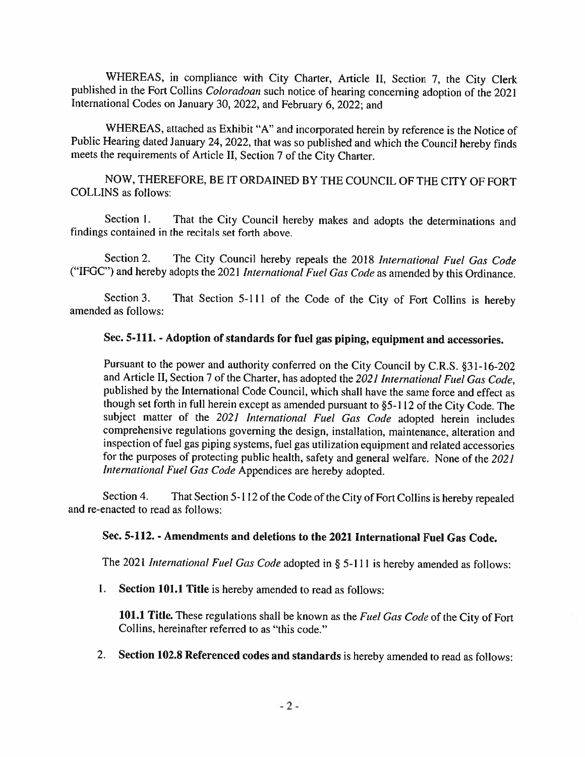WHEREAS, in compliance with City Charter, Article II, Section 7, the City Clerk published in the Fort Collins Coloradoan such notice of hearing concerning adoption of the 2021 International Codes on January 30, 2022, and February 6, 2022; and

WHEREAS, attached as Exhibit "A" and incorporated herein by reference is the Notice of Public Hearing dated January 24, 2022, that was so published and which the Council hereby finds meets the requirements of Article II, Section 7 of the City Charter.

NOW, THEREFORE, BE IT ORDAINED BY THE COUNCIL OF THE CITY OF FORT **COLLINS** as follows:

Section 1. That the City Council hereby makes and adopts the determinations and findings contained in the recitals set forth above.

Section 2. The City Council hereby repeals the 2018 International Fuel Gas Code ("IFGC") and hereby adopts the 2021 International Fuel Gas Code as amended by this Ordinance.

Section 3. That Section 5-111 of the Code of the City of Fort Collins is hereby amended as follows:

# Sec. 5-111. - Adoption of standards for fuel gas piping, equipment and accessories.

Pursuant to the power and authority conferred on the City Council by C.R.S. §31-16-202 and Article II, Section 7 of the Charter, has adopted the 2021 International Fuel Gas Code. published by the International Code Council, which shall have the same force and effect as though set forth in full herein except as amended pursuant to §5-112 of the City Code. The subject matter of the 2021 International Fuel Gas Code adopted herein includes comprehensive regulations governing the design, installation, maintenance, alteration and inspection of fuel gas piping systems, fuel gas utilization equipment and related accessories for the purposes of protecting public health, safety and general welfare. None of the 2021 International Fuel Gas Code Appendices are hereby adopted.

Section 4. That Section 5-112 of the Code of the City of Fort Collins is hereby repealed and re-enacted to read as follows:

#### Sec. 5-112. - Amendments and deletions to the 2021 International Fuel Gas Code.

The 2021 International Fuel Gas Code adopted in § 5-111 is hereby amended as follows:

 $1.$ Section 101.1 Title is hereby amended to read as follows:

101.1 Title. These regulations shall be known as the Fuel Gas Code of the City of Fort Collins, hereinafter referred to as "this code."

2. Section 102.8 Referenced codes and standards is hereby amended to read as follows: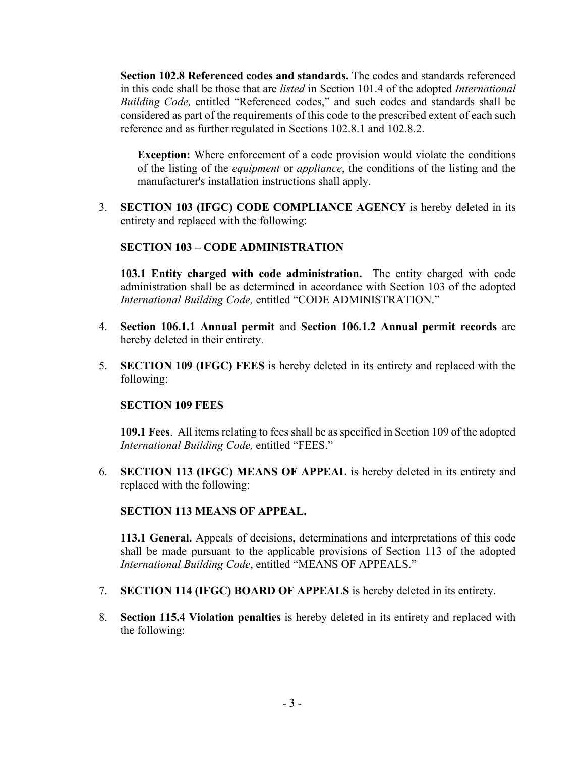**Section 102.8 Referenced codes and standards.** The codes and standards referenced in this code shall be those that are *listed* in Section 101.4 of the adopted *International Building Code,* entitled "Referenced codes," and such codes and standards shall be considered as part of the requirements of this code to the prescribed extent of each such reference and as further regulated in Sections 102.8.1 and 102.8.2.

**Exception:** Where enforcement of a code provision would violate the conditions of the listing of the *equipment* or *appliance*, the conditions of the listing and the manufacturer's installation instructions shall apply.

3. **SECTION 103 (IFGC) CODE COMPLIANCE AGENCY** is hereby deleted in its entirety and replaced with the following:

# **SECTION 103 – CODE ADMINISTRATION**

**103.1 Entity charged with code administration.** The entity charged with code administration shall be as determined in accordance with Section 103 of the adopted *International Building Code,* entitled "CODE ADMINISTRATION."

- 4. **Section 106.1.1 Annual permit** and **Section 106.1.2 Annual permit records** are hereby deleted in their entirety.
- 5. **SECTION 109 (IFGC) FEES** is hereby deleted in its entirety and replaced with the following:

# **SECTION 109 FEES**

**109.1 Fees**. All items relating to fees shall be as specified in Section 109 of the adopted *International Building Code,* entitled "FEES."

6. **SECTION 113 (IFGC) MEANS OF APPEAL** is hereby deleted in its entirety and replaced with the following:

# **SECTION 113 MEANS OF APPEAL.**

**113.1 General.** Appeals of decisions, determinations and interpretations of this code shall be made pursuant to the applicable provisions of Section 113 of the adopted *International Building Code*, entitled "MEANS OF APPEALS."

- 7. **SECTION 114 (IFGC) BOARD OF APPEALS** is hereby deleted in its entirety.
- 8. **Section 115.4 Violation penalties** is hereby deleted in its entirety and replaced with the following: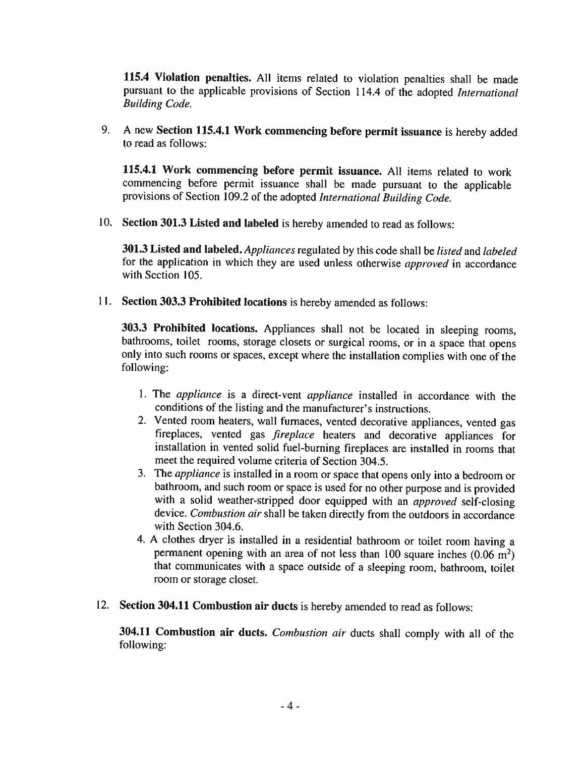115.4 Violation penalties. All items related to violation penalties shall be made pursuant to the applicable provisions of Section 114.4 of the adopted International **Building Code.** 

9. A new Section 115.4.1 Work commencing before permit issuance is hereby added to read as follows:

115.4.1 Work commencing before permit issuance. All items related to work commencing before permit issuance shall be made pursuant to the applicable provisions of Section 109.2 of the adopted International Building Code.

10. Section 301.3 Listed and labeled is hereby amended to read as follows:

**301.3 Listed and labeled.** Appliances regulated by this code shall be *listed* and *labeled* for the application in which they are used unless otherwise approved in accordance with Section 105.

11. Section 303.3 Prohibited locations is hereby amended as follows:

303.3 Prohibited locations. Appliances shall not be located in sleeping rooms, bathrooms, toilet rooms, storage closets or surgical rooms, or in a space that opens only into such rooms or spaces, except where the installation complies with one of the following:

- 1. The appliance is a direct-vent appliance installed in accordance with the conditions of the listing and the manufacturer's instructions.
- 2. Vented room heaters, wall furnaces, vented decorative appliances, vented gas fireplaces, vented gas *fireplace* heaters and decorative appliances for installation in vented solid fuel-burning fireplaces are installed in rooms that meet the required volume criteria of Section 304.5.
- 3. The appliance is installed in a room or space that opens only into a bedroom or bathroom, and such room or space is used for no other purpose and is provided with a solid weather-stripped door equipped with an approved self-closing device. Combustion air shall be taken directly from the outdoors in accordance with Section 304.6.
- 4. A clothes dryer is installed in a residential bathroom or toilet room having a permanent opening with an area of not less than 100 square inches  $(0.06 \text{ m}^2)$ that communicates with a space outside of a sleeping room, bathroom, toilet room or storage closet.
- 12. Section 304.11 Combustion air ducts is hereby amended to read as follows:

304.11 Combustion air ducts. Combustion air ducts shall comply with all of the following: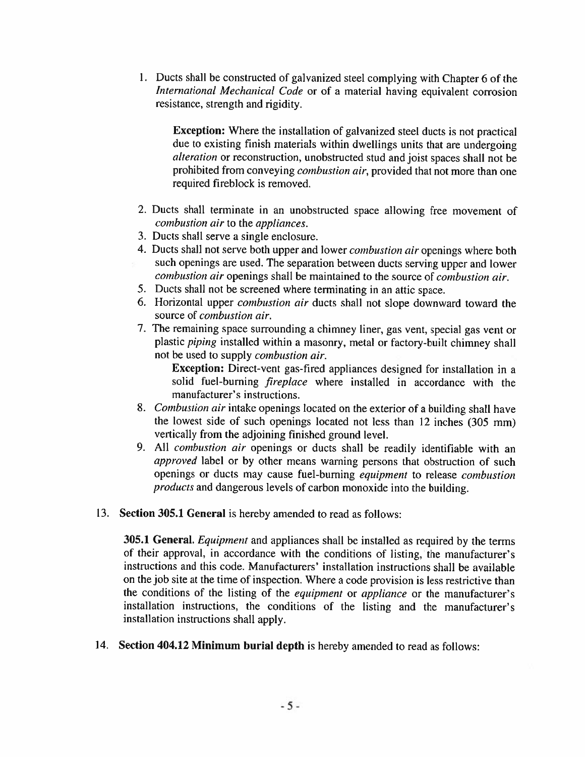1. Ducts shall be constructed of galvanized steel complying with Chapter 6 of the International Mechanical Code or of a material having equivalent corrosion resistance, strength and rigidity.

**Exception:** Where the installation of galvanized steel ducts is not practical due to existing finish materials within dwellings units that are undergoing *alteration* or reconstruction, unobstructed stud and joist spaces shall not be prohibited from conveying *combustion air*, provided that not more than one required fireblock is removed.

- 2. Ducts shall terminate in an unobstructed space allowing free movement of combustion air to the appliances.
- 3. Ducts shall serve a single enclosure.
- 4. Ducts shall not serve both upper and lower combustion air openings where both such openings are used. The separation between ducts serving upper and lower combustion air openings shall be maintained to the source of combustion air.
- 5. Ducts shall not be screened where terminating in an attic space.
- 6. Horizontal upper *combustion air* ducts shall not slope downward toward the source of combustion air.
- 7. The remaining space surrounding a chimney liner, gas vent, special gas vent or plastic *piping* installed within a masonry, metal or factory-built chimney shall not be used to supply *combustion air*.

Exception: Direct-vent gas-fired appliances designed for installation in a solid fuel-burning *fireplace* where installed in accordance with the manufacturer's instructions.

- 8. Combustion air intake openings located on the exterior of a building shall have the lowest side of such openings located not less than 12 inches (305 mm) vertically from the adjoining finished ground level.
- 9. All combustion air openings or ducts shall be readily identifiable with an approved label or by other means warning persons that obstruction of such openings or ducts may cause fuel-burning equipment to release combustion products and dangerous levels of carbon monoxide into the building.
- 13. Section 305.1 General is hereby amended to read as follows:

**305.1 General.** *Equipment* and appliances shall be installed as required by the terms of their approval, in accordance with the conditions of listing, the manufacturer's instructions and this code. Manufacturers' installation instructions shall be available on the job site at the time of inspection. Where a code provision is less restrictive than the conditions of the listing of the equipment or appliance or the manufacturer's installation instructions, the conditions of the listing and the manufacturer's installation instructions shall apply.

14. Section 404.12 Minimum burial depth is hereby amended to read as follows: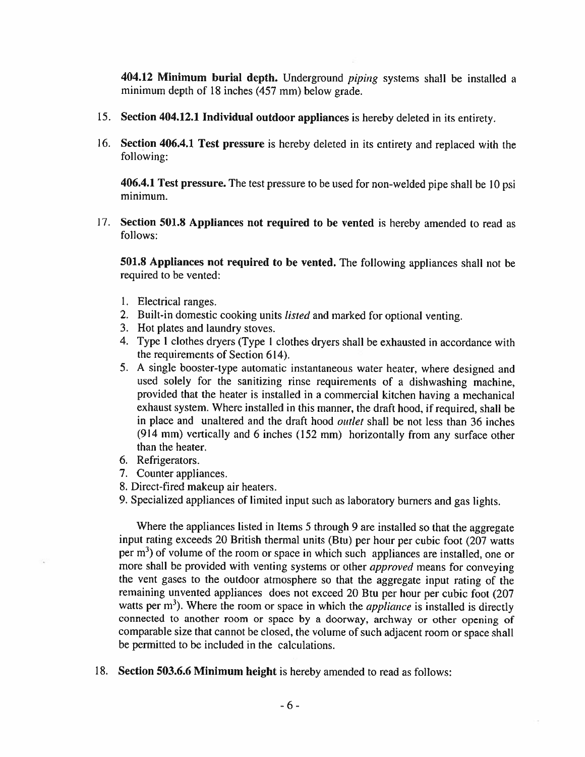404.12 Minimum burial depth. Underground *piping* systems shall be installed a minimum depth of 18 inches (457 mm) below grade.

- 15. Section 404.12.1 Individual outdoor appliances is hereby deleted in its entirety.
- 16. Section 406.4.1 Test pressure is hereby deleted in its entirety and replaced with the following:

406.4.1 Test pressure. The test pressure to be used for non-welded pipe shall be 10 psi minimum.

17. Section 501.8 Appliances not required to be vented is hereby amended to read as follows:

501.8 Appliances not required to be vented. The following appliances shall not be required to be vented:

- 1. Electrical ranges.
- 2. Built-in domestic cooking units listed and marked for optional venting.
- 3. Hot plates and laundry stoves.
- 4. Type 1 clothes dryers (Type 1 clothes dryers shall be exhausted in accordance with the requirements of Section 614).
- 5. A single booster-type automatic instantaneous water heater, where designed and used solely for the sanitizing rinse requirements of a dishwashing machine. provided that the heater is installed in a commercial kitchen having a mechanical exhaust system. Where installed in this manner, the draft hood, if required, shall be in place and unaltered and the draft hood *outlet* shall be not less than 36 inches (914 mm) vertically and 6 inches (152 mm) horizontally from any surface other than the heater.
- 6. Refrigerators.
- 7. Counter appliances.
- 8. Direct-fired makeup air heaters.
- 9. Specialized appliances of limited input such as laboratory burners and gas lights.

Where the appliances listed in Items 5 through 9 are installed so that the aggregate input rating exceeds 20 British thermal units (Btu) per hour per cubic foot (207 watts per m<sup>3</sup>) of volume of the room or space in which such appliances are installed, one or more shall be provided with venting systems or other *approved* means for conveying the vent gases to the outdoor atmosphere so that the aggregate input rating of the remaining unvented appliances does not exceed 20 Btu per hour per cubic foot (207 watts per  $m<sup>3</sup>$ ). Where the room or space in which the *appliance* is installed is directly connected to another room or space by a doorway, archway or other opening of comparable size that cannot be closed, the volume of such adjacent room or space shall be permitted to be included in the calculations.

18. Section 503.6.6 Minimum height is hereby amended to read as follows: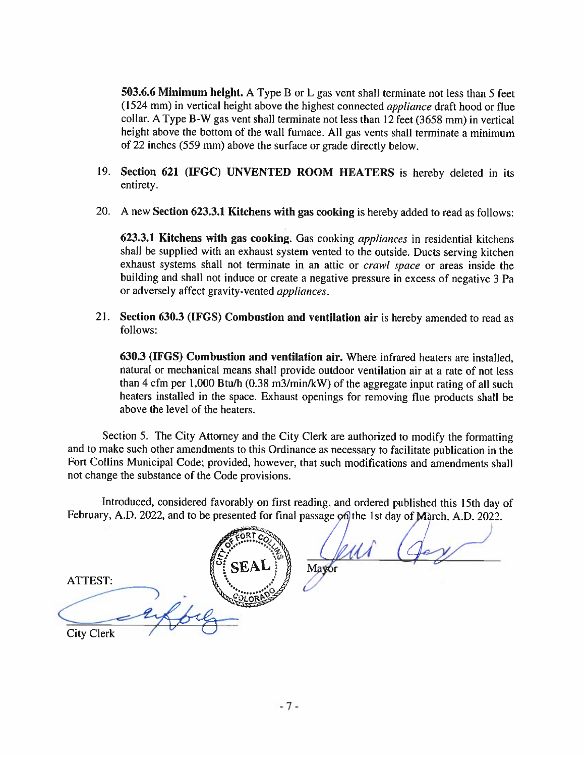503.6.6 Minimum height. A Type B or L gas vent shall terminate not less than 5 feet (1524 mm) in vertical height above the highest connected *appliance* draft hood or flue collar. A Type B-W gas vent shall terminate not less than 12 feet (3658 mm) in vertical height above the bottom of the wall furnace. All gas vents shall terminate a minimum of 22 inches (559 mm) above the surface or grade directly below.

- 19. Section 621 (IFGC) UNVENTED ROOM HEATERS is hereby deleted in its entirety.
- 20. A new Section 623.3.1 Kitchens with gas cooking is hereby added to read as follows:

623.3.1 Kitchens with gas cooking. Gas cooking *appliances* in residential kitchens shall be supplied with an exhaust system vented to the outside. Ducts serving kitchen exhaust systems shall not terminate in an attic or crawl space or areas inside the building and shall not induce or create a negative pressure in excess of negative 3 Pa or adversely affect gravity-vented appliances.

21. Section 630.3 (IFGS) Combustion and ventilation air is hereby amended to read as follows:

630.3 (IFGS) Combustion and ventilation air. Where infrared heaters are installed, natural or mechanical means shall provide outdoor ventilation air at a rate of not less than 4 cfm per 1,000 Btu/h  $(0.38 \text{ m}^3/\text{min/kW})$  of the aggregate input rating of all such heaters installed in the space. Exhaust openings for removing flue products shall be above the level of the heaters.

Section 5. The City Attorney and the City Clerk are authorized to modify the formatting and to make such other amendments to this Ordinance as necessary to facilitate publication in the Fort Collins Municipal Code; provided, however, that such modifications and amendments shall not change the substance of the Code provisions.

Introduced, considered favorably on first reading, and ordered published this 15th day of February, A.D. 2022, and to be presented for final passage on the 1st day of March, A.D. 2022.

ATTEST: **City Clerk** 

Mayor

 $-7-$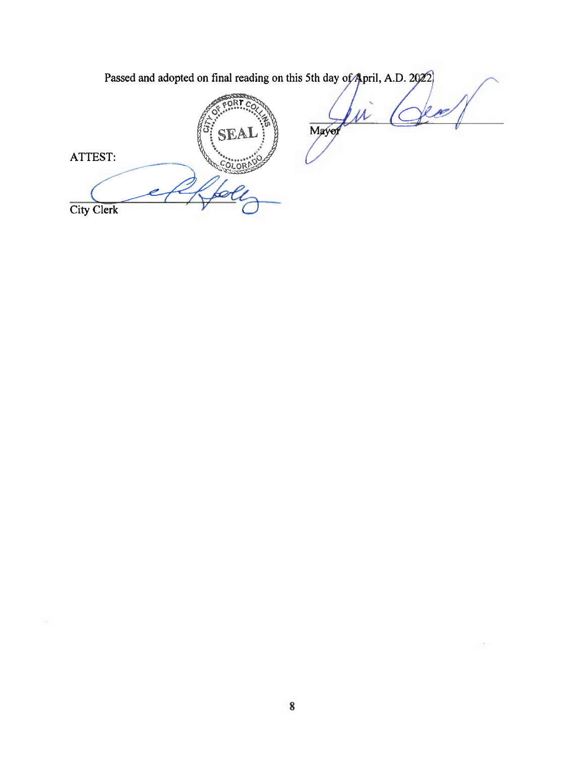| Passed and adopted on final reading on this 5th day of April, A.D. 2022 |      |
|-------------------------------------------------------------------------|------|
| SEA<br>ATTEST:<br><b>City Clerk</b>                                     | Mayo |

 $\left( 1\pm 1\right)$